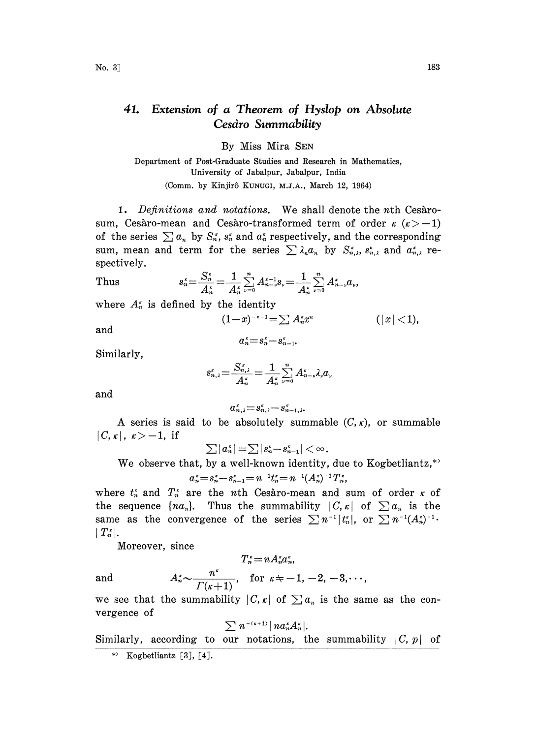## 41. Extension of a Theorem of Hyslop on Absolute Cesdro Summability

By Miss Mira SEN

Department of Post-Graduate Studies and Research in Mathematics, University of Jabalpur, Jabalpur, India (Comm. by Kinjirô KUNUGI, M.J.A., March 12, 1964)

1. Definitions and notations. We shall denote the n<sup>th</sup> Cesarosum, Cesàro-mean and Cesàro-transformed term of order  $\kappa$  ( $\kappa$  > -1) of the series  $\sum a_n$  by  $S_n^*$ ,  $s_n^*$  and  $a_n^*$  respectively, and the corresponding sum, mean and term for the series  $\sum \lambda_n a_n$  by  $S_{n,\lambda}^s$ ,  $S_{n,\lambda}^s$  and  $a_{n,\lambda}^s$  respectively.

spectively.  
\nThus 
$$
s_n^* = \frac{S_n^*}{A_n^*} = \frac{1}{A_n^*} \sum_{\nu=0}^n A_{n-\nu}^{*-1} s_{\nu} = \frac{1}{A_n^*} \sum_{\nu=0}^n A_{n-\nu}^{*} a_{\nu}
$$
\nwhere  $A_n^*$  is defined by the identity  
\n
$$
(1-x)^{-\epsilon-1} = \sum A_n^* x^n
$$
\nand\n
$$
a_n^* = s_n^* - s_{n-1}^*.
$$

where  $A_n^*$  is defined by the identity<br> $(1-x)^{-\kappa-1} = \sum A_n^* x^n$ 

and

$$
\alpha_n^* = s_n^* - s_{n-1}^*.
$$

Similarly,

$$
s_{n,\lambda}^* = \frac{S_{n,\lambda}^*}{A_n^*} = \frac{1}{A_n^*} \sum_{\nu=0}^n A_{n-\nu}^* \lambda_{\nu} a_{\nu}
$$

and

$$
\alpha_{n,\lambda}^* = s_{n,\lambda}^* - s_{n-1,\lambda}^*.
$$

A series is said to be absolutely summable  $(C, \kappa)$ , or summable  $|C,\kappa|, \kappa\rangle-1$ , if

$$
\textstyle\sum |a^{\,\text{\tiny\it e}}_n|=\textstyle\sum |s^{\,\text{\tiny\it e}}_n\!-\!s^{\,\text{\tiny\it e}}_{n-1}|<\infty
$$

We observe that, by a well-known identity, due to Kogbetliantz,\*'

$$
a_n^* = s_n^* - s_{n-1}^* = n^{-1}t_n^* = n^{-1}(A_n^*)^{-1}T_n^*,
$$

where  $t_n^*$  and  $T_n^*$  are the nth Cesaro-mean and sum of order  $\kappa$  of the sequence  $\{na_n\}$ . Thus the summability  $|C,\kappa|$  of  $\sum a_n$  is the same as the convergence of the series  $\sum n^{-1} |t_n^{\kappa}|$ , or  $\sum n^{-1}(A_n^{\kappa})^{-1}$ .  $|T_n^{\kappa}|.$ 

Moreover, since

$$
T_n^* = n A_n^* a_n^*,
$$

and  $A_n^{\kappa} \sim \frac{n^{\kappa}}{\Gamma(\kappa + 1)}$ , for  $\kappa \neq -1, -2, -3,$ . we see that the summability  $|C, \kappa|$  of  $\sum a_n$  is the same as the convergence of

$$
\sum n^{-(\kappa+1)} |n a_n^{\kappa} A_n^{\kappa}|.
$$

Similarly, according to our notations, the summability  $|C, p|$  of

 $(|x|<1)$ ,

<sup>\*)</sup> Kogbetliantz [3], [4].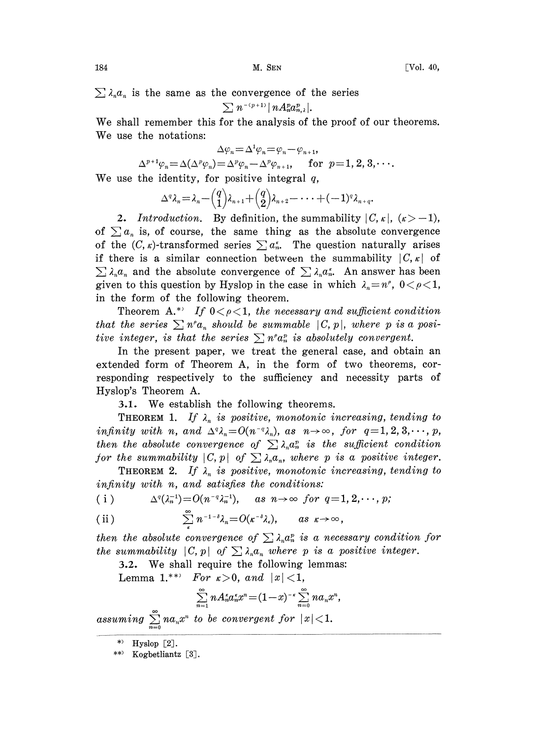$\sum \lambda_n a_n$  is the same as the convergence of the series

$$
\textstyle\sum n^{-(p+1)}|\, n A_n^p a_{n,\lambda}^p|.
$$

We shall remember this for the analysis of the proof of our theorems. We use the notations:

$$
\Delta \varphi_n = \Delta^1 \varphi_n = \varphi_n - \varphi_{n+1}
$$

$$
\Delta \varphi_n = \Delta^1 \varphi_n = \varphi_n - \varphi_{n+1},
$$
  
\n
$$
\Delta^{p+1} \varphi_n = \Delta(\Delta^p \varphi_n) = \Delta^p \varphi_n - \Delta^p \varphi_{n+1}, \quad \text{for } p = 1, 2, 3, \cdots.
$$

We use the identity, for positive integral  $q$ ,

$$
\Delta^q \lambda_n = \lambda_n - {q \choose 1} \lambda_{n+1} + {q \choose 2} \lambda_{n+2} - \cdots + (-1)^q \lambda_{n+q}
$$

2. Introduction. By definition, the summability  $|C, \kappa|, (\kappa > -1)$ , of  $\sum a_n$  is, of course, the same thing as the absolute convergence of the  $(C, \kappa)$ -transformed series  $\sum a_n^{\kappa}$ . The question naturally arises if there is a similar connection between the summability  $|C,\kappa|$  of  $\sum \lambda_n a_n$  and the absolute convergence of  $\sum \lambda_n a_n^*$ . An answer has been given to this question by Hyslop in the case in which  $\lambda_n = n^{\rho}$ ,  $0 < \rho < 1$ , in the form of the following theorem.

Theorem A.\* If  $0 < \rho < 1$ , the necessary and sufficient condition that the series  $\sum n^{\rho} a_n$  should be summable  $|C, p|$ , where p is a positive integer, is that the series  $\sum n^{\rho} a_n^{\rho}$  is absolutely convergent.

In the present paper, we treat the general case, and obtain an extended form of Theorem A, in the form of two theorems, corresponding respectively to the sufficiency and necessity parts of Hyslop's Theorem A.

S.1. We establish the following theorems.

**THEOREM 1.** If  $\lambda_n$  is positive, monotonic increasing, tending to infinity with n, and  $\Delta^q \lambda_n = O(n^{-q} \lambda_n)$ , as  $n \to \infty$ , for  $q=1, 2, 3, \dots, p$ , then the absolute convergence of  $\sum \lambda_n a_n^p$  is the sufficient condition for the summability  $|C, p|$  of  $\sum_{n} \lambda_n a_n$ , where p is a positive integer.

THEOREM 2. If  $\lambda_n$  is positive, monotonic increasing, tending<br>infinity with n, and satisfies the conditions:<br>(i)  $\Delta^q(\lambda_n^{-1}) = O(n^{-q}\lambda_n^{-1}),$  as  $n \to \infty$  for  $q = 1, 2, \dots, p$ ; infinity with n, and satisfies the conditions:

(i) 
$$
\Delta^q(\lambda_n^{-1})=O(n^{-q}\lambda_n^{-1}), \text{ as } n\to\infty \text{ for } q=1, 2, \cdots, p;
$$

(ii) 
$$
\sum_{\kappa}^{\infty} n^{-1-\delta} \lambda_{\kappa} = O(\kappa^{-\delta} \lambda_{\kappa}), \quad \text{as } \kappa \to \infty
$$

then the absolute convergence of  $\sum \lambda_n a_n^p$  is a necessary condition for the summability  $|C, p|$  of  $\sum_{n} \lambda_n a_n$  where p is a positive integer.

5.2. We shall require the following lemmas:

Lemma 1.\*\* For  $\kappa > 0$ , and  $|x| < 1$ ,

$$
\sum_{n=1}^{\infty} n A_n^{\kappa} a_n^{\kappa} x^n = (1-x)^{-\kappa} \sum_{n=0}^{\infty} n a_n x^n,
$$

assuming  $\sum_{n=0}^{\infty} n a_n x^n$  to be convergent for  $|x| < 1$ .

<sup>\*&</sup>gt; Hyslop  $[2]$ .

<sup>\*\*&</sup>lt;sup>)</sup> Kogbetliantz [3].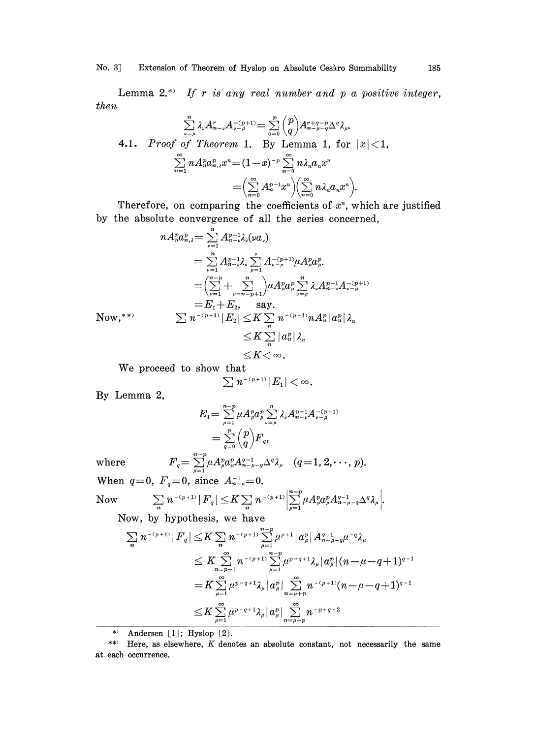No. 3] Extension of Theorem of Hyslop on Absolute Cesàro Summability 185

Lemma  $2.*$  If r is any real number and p a positive integer, then

$$
\sum_{\nu=\mu}^m \lambda_\nu A_{n-\nu}^r A_{\nu-\mu}^{-(p+1)} = \sum_{q=0}^p \binom{p}{q} A_{n-\mu-q}^{r+q-p} \Delta^q \lambda_\mu.
$$
  
**4.1.** Proof of Theorem 1. By Lemma 1, for  $|x| < 1$ ,  

$$
\sum_{n=1}^\infty n A_n^p a_{n,\lambda}^p x^n = (1-x)^{-p} \sum_{n=0}^\infty n \lambda_n a_n x^n
$$

$$
= \left(\sum_{n=0}^\infty A_n^{p-1} x^n\right) \left(\sum_{n=0}^\infty n \lambda_n a_n x^n\right).
$$

Therefore, on comparing the coefficients of  $x<sup>n</sup>$ , which are justified by the absolute convergence of all the series concerned,

$$
\begin{array}{ll} n A_n^p a_{n,\lambda}^p = \sum\limits_{\nu = 1}^n A_{n-\nu}^{p-1} \lambda_\nu (\nu a_\nu) \\ \hskip 3.5cm = \sum\limits_{\nu = 1}^n A_{n-\nu}^{p-1} \lambda_\nu \sum\limits_{\mu = 1}^{\nu} A_{\nu-\mu}^{-(p+1)} \mu A_{\mu}^p a_{\mu}^p. \\ \hskip 3.5cm = \Bigl( \sum\limits_{\mu = 1}^{n-p} + \sum\limits_{\mu = n-p+1}^{n} \Bigr) \mu A_{\mu}^p a_{\mu}^p \sum\limits_{\nu = \mu}^n \lambda_\nu A_{n-\nu}^{p-1} A_{\nu-\mu}^{-(p+1)} \\ \hskip 3.5cm = E_1 + E_2, \quad \text{say}. \\ \hskip 3.5cm \sum n^{-(p+1)} \, |E_2| \leq K \sum\limits_{n} n^{-(p+1)} n A_n^p \, |a_n^p| \, \lambda_n \\ \hskip 3.5cm \leq K \sum\limits_{n} |a_n^p| \, \lambda_n \\ \hskip 3.5cm \leq K < \infty \, . \end{array}
$$

We proceed to show that

$$
\sum n^{-(p+1)}|E_1|<\infty.
$$

By Lemma 2,

$$
E_1 = \sum_{\mu=1}^{n-p} \mu A_\mu^p a_\mu^p \sum_{\nu=\mu}^n \lambda_\nu A_{n-\nu}^{p-1} A_{\nu-\mu}^{-(p+1)}
$$
  
= 
$$
\sum_{q=0}^p \binom{p}{q} F_q,
$$

where

where  $F_q = \sum_{\mu=1}^{n-p} \mu A_{\mu}^p a_{\mu}^p A_{n-\mu-q}^{q-1} \Delta^q \lambda_{\mu}$   $(q=1, 2, \dots, p).$ <br>When  $q=0$ ,  $F_q=0$ , since  $A_{n-\mu}^{-1}=0$ .

 $\vert n-p$ Now

Now 
$$
\sum_{n} n^{-(p+1)} |F_q| \leq K \sum_{n} n^{-(p+1)} \left| \sum_{\mu=1}^{n-p} \mu A_{\mu}^p a_{\mu}^p A_{n-\mu-q}^{q-1} \Delta^q \lambda_{\mu} \right|.
$$

Now, by hypothesis, we have

$$
\begin{aligned} \left|\sum_{n}n^{-(p+1)}\right|F_{q}\right| \leq & K\sum_{n}n^{-(p+1)}\sum_{\mu=1}^{n-p}\mu^{p+1}\big|a_{\mu}^{p}\big|A_{n-\mu-q}^{q-1}\mu^{-q}\lambda_{\mu} \\ \leq & K\sum_{n=p+1}^{\infty}n^{-(p+1)}\sum_{\mu=1}^{n-p}\mu^{p-q+1}\lambda_{\mu}\big|a_{\mu}^{p}\big|(n-\mu-q+1)^{q-1} \\ = & K\sum_{\mu=1}^{\infty}\mu^{p-q+1}\lambda_{\mu}\big|a_{\mu}^{p}\big|\sum_{n=\mu+p}^{\infty}n^{-(p+1)}(n-\mu-q+1)^{q-1} \\ \leq & K\sum_{\mu=1}^{\infty}\mu^{p-q+1}\lambda_{\mu}\big|a_{\mu}^{p}\big|\sum_{n=\mu+p}^{\infty}n^{-p+q-2} \end{aligned}
$$

\*) Andersen [1]; Hyslop [2].

<sup>\*\*)</sup> Here, as elsewhere, K denotes an absolute constant, not necessarily the same at each occurrence.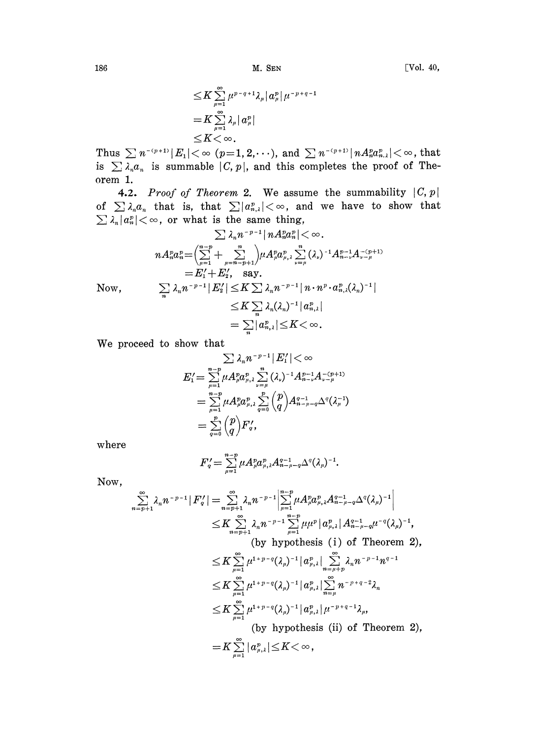M. SEN

$$
\leq K \sum_{\mu=1}^{\infty} \mu^{p-q+1} \lambda_{\mu} |\alpha_{\mu}^{p} | \mu^{-p+q-1}
$$
  
=  $K \sum_{\mu=1}^{\infty} \lambda_{\mu} |\alpha_{\mu}^{p}|$   
 $\leq K < \infty$ .

Thus  $\sum n^{-(p+1)} |E_1| < \infty$  (p=1, 2, ...), and  $\sum n^{-(p+1)} |n A_n^p a_{n,\lambda}^p| < \infty$ , that is  $\sum \lambda_n a_n$  is summable  $|C, p|$ , and this completes the proof of Theorem 1.

4.2. Proof of Theorem 2. We assume the summability  $|C, p|$ of  $\sum \lambda_n a_n$  that is, that  $\sum |a_{n,\lambda}^p| < \infty$ , and we have to show that  $\sum \lambda_n |a_n^v| < \infty$ , or what is the same thing,

$$
\sum \lambda_n n^{-p-1} |n A_n^p a_n^p| < \infty.
$$
\n
$$
n A_n^p a_n^p = \left(\sum_{\mu=1}^{n-p} + \sum_{\mu=n-p+1}^n\right) \mu A_\mu^p a_{\mu,\lambda}^p \sum_{\nu=\mu}^n (\lambda_\nu)^{-1} A_{n-\nu}^{p-1} A_{\nu-\mu}^{-(p+1)}
$$
\n
$$
= E_1' + E_2', \text{ say.}
$$
\n
$$
\sum_n \lambda_n n^{-p-1} |E_2'| \le K \sum_{\lambda_n} \lambda_n n^{-p-1} |n \cdot n^p \cdot a_{n,\lambda}^p (\lambda_n)^{-1}|
$$
\n
$$
\le K \sum_{n} \lambda_n (\lambda_n)^{-1} |a_{n,\lambda}^p|
$$
\n
$$
= \sum_n |a_{n,\lambda}^p| \le K < \infty.
$$

We proceed to show that

$$
\sum \lambda_n n^{-p-1} |E_1'| < \infty
$$
\n
$$
E_1' = \sum_{\mu=1}^{n-p} \mu A_\mu^p a_{\mu,\lambda}^p \sum_{\nu=\mu}^n (\lambda_\nu)^{-1} A_{n-\nu}^{p-1} A_{\nu-\mu}^{-(p+1)}
$$
\n
$$
= \sum_{\mu=1}^{n-p} \mu A_\mu^p a_{\mu,\lambda}^p \sum_{q=0}^p {p \choose q} A_{n-\mu-q}^{q-1} \Delta^q (\lambda_\mu^{-1})
$$
\n
$$
= \sum_{q=0}^p {p \choose q} F_q',
$$

where

$$
F'_{q} = \sum_{\mu=1}^{n-p} \mu A_{\mu}^{p} a_{\mu,\lambda}^{p} A_{n-\mu-q}^{q-1} \Delta^{q} (\lambda_{\mu})^{-1}.
$$

Now,

$$
\sum_{n=p+1}^{\infty} \lambda_n n^{-p-1} |F'_q| = \sum_{n=p+1}^{\infty} \lambda_n n^{-p-1} \left| \sum_{\mu=1}^{n-p} \mu A_{\mu}^p a_{\mu,\lambda}^p A_{n-\mu-q}^{q-1} \Delta^q (\lambda_{\mu})^{-1} \right|
$$
  
\n
$$
\leq K \sum_{n=p+1}^{\infty} \lambda_n n^{-p-1} \sum_{\mu=1}^{n-p} \mu \mu^p |a_{\mu,\lambda}^p| A_{n-\mu-q}^{q-1} \mu^{-q} (\lambda_{\mu})^{-1},
$$
  
\n(by hypothesis (i) of Theorem 2),  
\n
$$
\leq K \sum_{\mu=1}^{\infty} \mu^{1+p-q} (\lambda_{\mu})^{-1} |a_{\mu,\lambda}^p| \sum_{n=\mu+p}^{\infty} \lambda_n n^{-p-1} n^{q-1}
$$
  
\n
$$
\leq K \sum_{\mu=1}^{\infty} \mu^{1+p-q} (\lambda_{\mu})^{-1} |a_{\mu,\lambda}^p| \sum_{n=\mu}^{\infty} n^{-p+q-2} \lambda_n
$$
  
\n
$$
\leq K \sum_{\mu=1}^{\infty} \mu^{1+p-q} (\lambda_{\mu})^{-1} |a_{\mu,\lambda}^p| \mu^{-p+q-1} \lambda_{\mu},
$$
  
\n(by hypothesis (ii) of Theorem 2),  
\n
$$
= K \sum_{\mu=1}^{\infty} |a_{\mu,\lambda}^p| \leq K < \infty,
$$

186